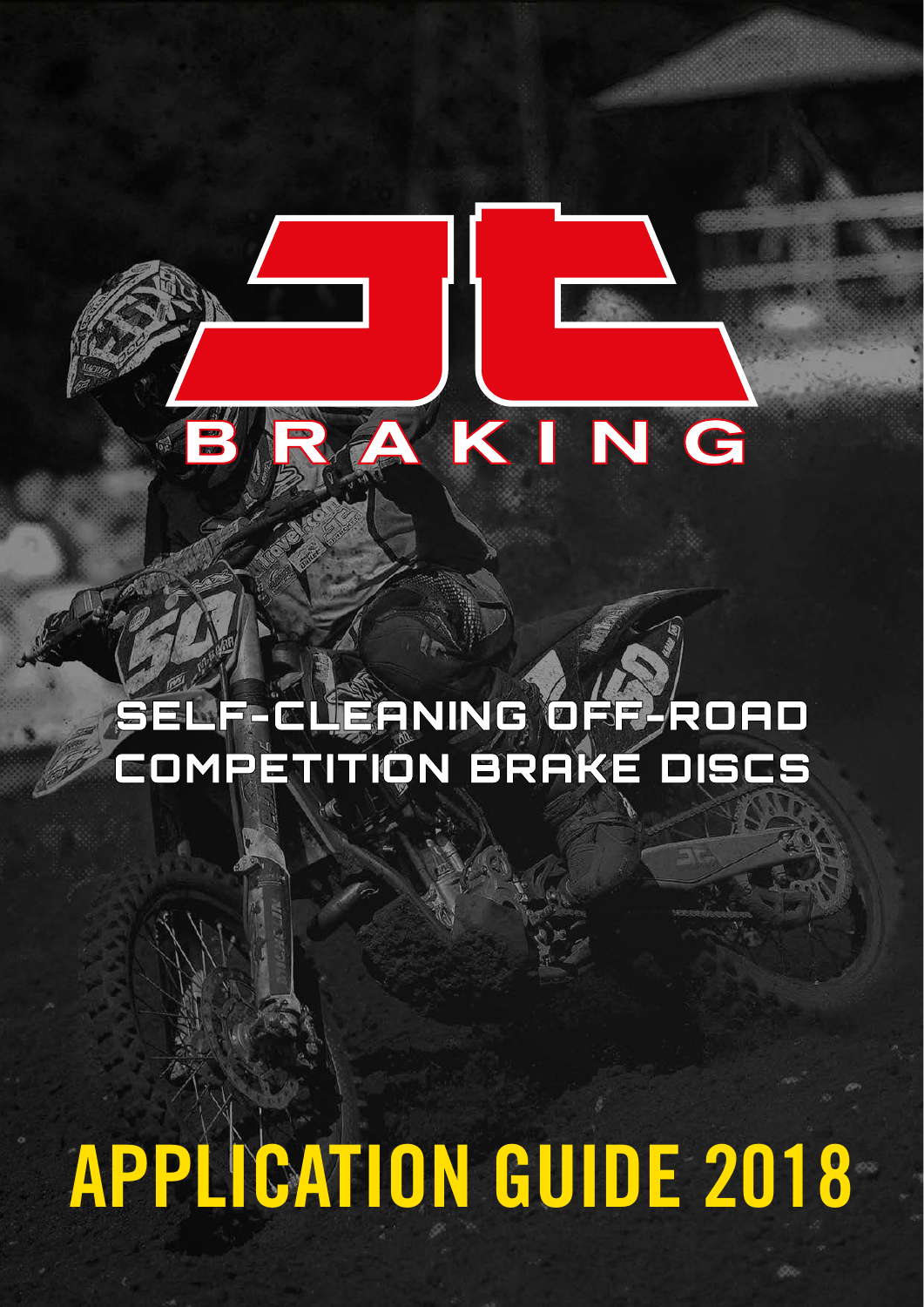### SELF-CLEANING OFF ROAD COMPETITION BRAKE DISCS

KING

# APPLICATION GUIDE 2018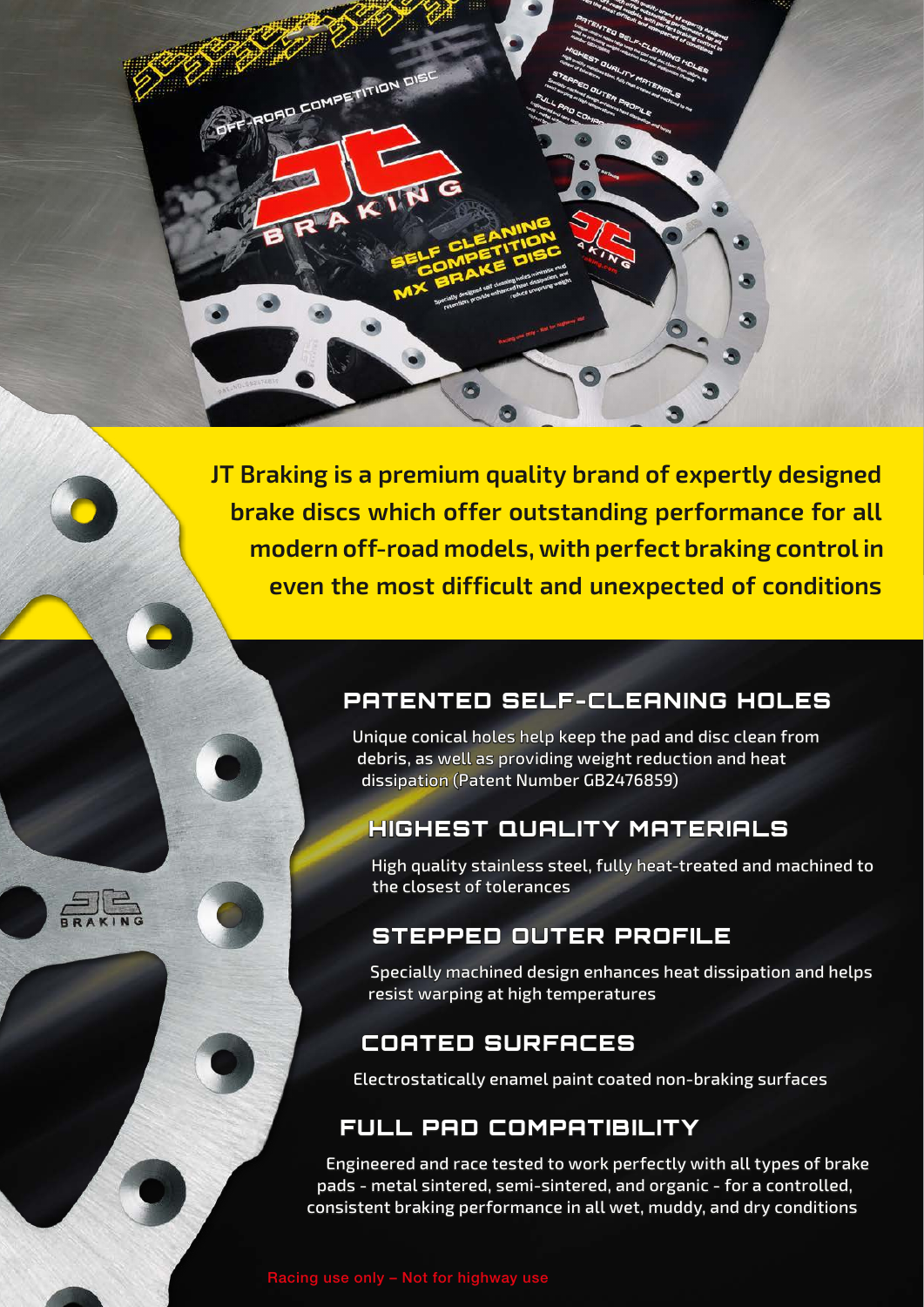**JT Braking is a premium quality brand of expertly designed brake discs which offer outstanding performance for all modern off-road models, with perfect braking control in even the most difficult and unexpected of conditions**

PRORO COMPETITION DIST

IN C

### PATENTED SELF-CLEANING HOLES

Unique conical holes help keep the pad and disc clean from debris, as well as providing weight reduction and heat dissipation (Patent Number GB2476859)

### **HIGHEST QUALITY MATERIALS**

High quality stainless steel, fully heat-treated and machined to the closest of tolerances

### STEPPED OUTER PROFILE

Specially machined design enhances heat dissipation and helps resist warping at high temperatures

### COATED SURFACES

Electrostatically enamel paint coated non-braking surfaces

### FULL PAD COMPATIBILITY

Engineered and race tested to work perfectly with all types of brake pads - metal sintered, semi-sintered, and organic - for a controlled, consistent braking performance in all wet, muddy, and dry conditions

 $\Box$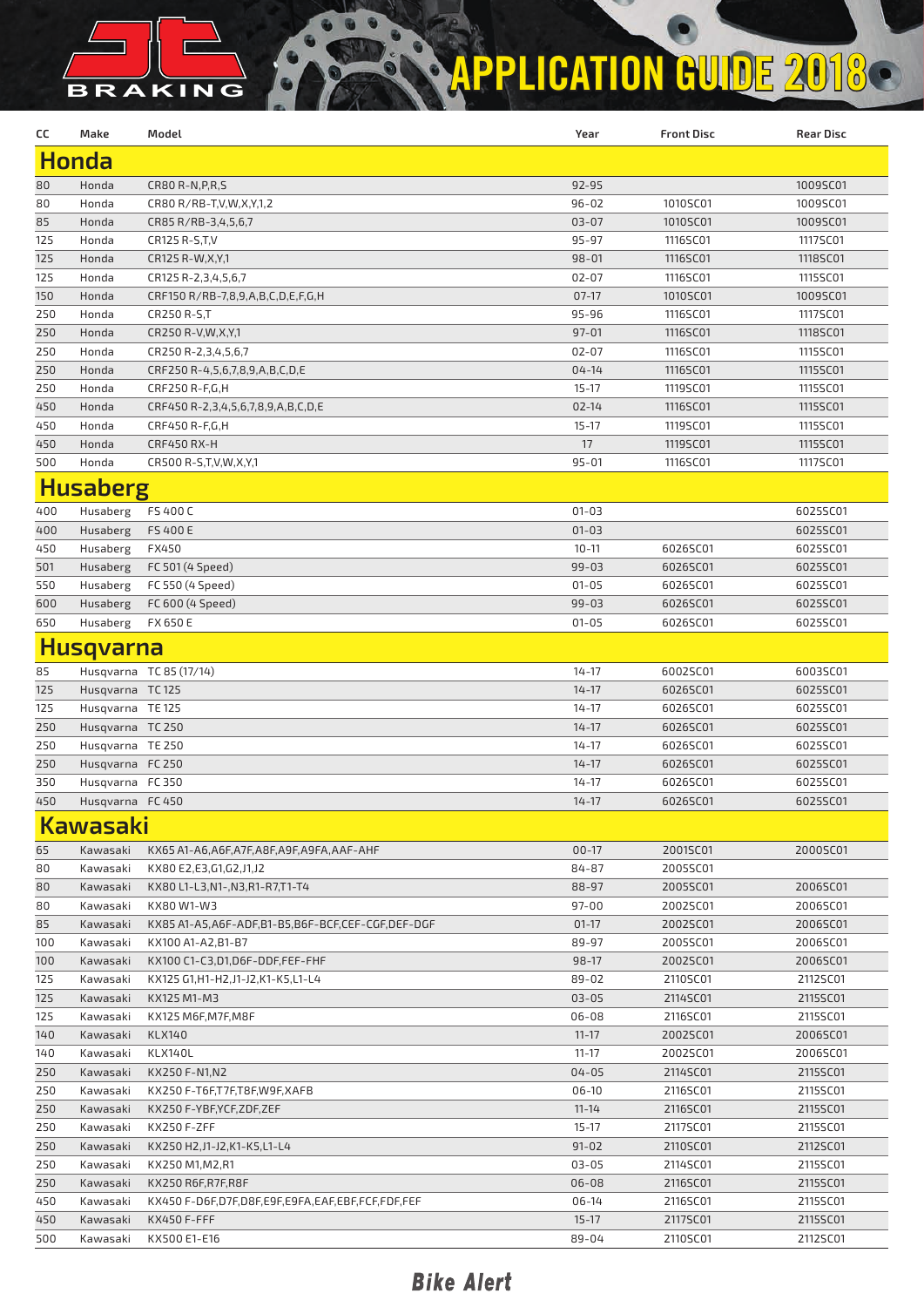## BRAKING **APPLICATION GUIDE 2018**

| cc              | Make             | Model                                            | Year      | <b>Front Disc</b> | <b>Rear Disc</b> |  |  |  |
|-----------------|------------------|--------------------------------------------------|-----------|-------------------|------------------|--|--|--|
| <b>Honda</b>    |                  |                                                  |           |                   |                  |  |  |  |
| 80              | Honda            | CR80 R-N, P, R, S                                | 92-95     |                   | 1009SC01         |  |  |  |
| 80              | Honda            | CR80 R/RB-T, V, W, X, Y, 1, 2                    | $96 - 02$ | 1010SC01          | 1009SC01         |  |  |  |
| 85              | Honda            | CR85 R/RB-3,4,5,6,7                              | $03 - 07$ | 1010SC01          | 1009SC01         |  |  |  |
| 125             | Honda            | CR125 R-S,T,V                                    | 95-97     | 1116SC01          | 1117SC01         |  |  |  |
| 125             | Honda            | CR125 R-W, X, Y, 1                               | $98 - 01$ | 1116SC01          | 1118SC01         |  |  |  |
| 125             | Honda            | CR125 R-2,3,4,5,6,7                              | $02 - 07$ | 1116SC01          | 1115SC01         |  |  |  |
| 150             | Honda            | CRF150 R/RB-7,8,9,A,B,C,D,E,F,G,H                | $07-17$   | 1010SC01          | 1009SC01         |  |  |  |
| 250             | Honda            | CR250 R-S,T                                      | 95-96     | 1116SC01          | 1117SC01         |  |  |  |
| 250             | Honda            | CR250 R-V, W, X, Y, 1                            | $97 - 01$ | 1116SC01          | 1118SC01         |  |  |  |
| 250             | Honda            | CR250 R-2,3,4,5,6,7                              | $02 - 07$ | 1116SC01          | 1115SC01         |  |  |  |
| 250             | Honda            | CRF250 R-4,5,6,7,8,9,A,B,C,D,E                   | $04 - 14$ | 1116SC01          | 1115SC01         |  |  |  |
| 250             | Honda            | CRF250 R-F,G,H                                   | $15 - 17$ | 1119SC01          | 1115SC01         |  |  |  |
| 450             | Honda            | CRF450 R-2,3,4,5,6,7,8,9,A,B,C,D,E               | $02 - 14$ | 1116SC01          | 1115SC01         |  |  |  |
| 450             | Honda            | CRF450 R-F,G,H                                   | $15 - 17$ | 1119SC01          | 1115SC01         |  |  |  |
| 450             | Honda            | <b>CRF450 RX-H</b>                               | 17        | 1119SC01          | 1115SC01         |  |  |  |
| 500             | Honda            | CR500 R-S,T,V,W,X,Y,1                            | $95 - 01$ | 1116SC01          | 1117SC01         |  |  |  |
|                 | <b>Husaberg</b>  |                                                  |           |                   |                  |  |  |  |
| 400             | Husaberg         | FS 400 C                                         | $01 - 03$ |                   | 6025SC01         |  |  |  |
| 400             | Husaberg         | FS 400 E                                         | $01 - 03$ |                   | 6025SC01         |  |  |  |
| 450             | Husaberg         | FX450                                            | $10 - 11$ | 6026SC01          | 6025SC01         |  |  |  |
| 501             | Husaberg         | FC 501 (4 Speed)                                 | $99 - 03$ | 6026SC01          | 6025SC01         |  |  |  |
| 550             | Husaberg         | FC 550 (4 Speed)                                 | $01 - 05$ | 6026SC01          | 6025SC01         |  |  |  |
| 600             | Husaberg         | FC 600 (4 Speed)                                 | $99 - 03$ | 6026SC01          | 6025SC01         |  |  |  |
| 650             | Husaberg         | FX 650 E                                         | $01 - 05$ | 6026SC01          | 6025SC01         |  |  |  |
|                 | <b>Husqvarna</b> |                                                  |           |                   |                  |  |  |  |
| 85              |                  | Husqvarna TC 85 (17/14)                          | $14 - 17$ | 6002SC01          | 6003SC01         |  |  |  |
| 125             | Husqvarna TC125  |                                                  | $14 - 17$ | 6026SC01          | 6025SC01         |  |  |  |
| 125             | Husqvarna TE 125 |                                                  | $14 - 17$ | 6026SC01          | 6025SC01         |  |  |  |
| 250             | Husqvarna TC 250 |                                                  | $14 - 17$ | 6026SC01          | 6025SC01         |  |  |  |
| 250             | Husqvarna TE 250 |                                                  | $14 - 17$ | 6026SC01          | 6025SC01         |  |  |  |
| 250             | Husqvarna FC 250 |                                                  | $14 - 17$ | 6026SC01          | 6025SC01         |  |  |  |
| 350             | Husqvarna FC 350 |                                                  | $14 - 17$ | 6026SC01          | 6025SC01         |  |  |  |
| 450             | Husqvarna FC 450 |                                                  | $14 - 17$ | 6026SC01          | 6025SC01         |  |  |  |
| <u>Kawasaki</u> |                  |                                                  |           |                   |                  |  |  |  |
| 65              | Kawasaki         | KX65 A1-A6,A6F,A7F,A8F,A9F,A9FA,AAF-AHF          | $00-17$   | 2001SC01          | 2000SC01         |  |  |  |
| 80              | Kawasaki         | KX80 E2,E3,G1,G2,J1,J2                           | 84-87     | 2005SC01          |                  |  |  |  |
| 80              | Kawasaki         | KX80 L1-L3, N1-, N3, R1-R7, T1-T4                | 88-97     | 2005SC01          | 2006SC01         |  |  |  |
| 80              | Kawasaki         | KX80 W1-W3                                       | 97-00     | 2002SC01          | 2006SC01         |  |  |  |
| 85              | Kawasaki         | KX85 A1-A5,A6F-ADF,B1-B5,B6F-BCF,CEF-CGF,DEF-DGF | $01-17$   | 2002SC01          | 2006SC01         |  |  |  |
| 100             | Kawasaki         | KX100 A1-A2, B1-B7                               | 89-97     | 2005SC01          | 2006SC01         |  |  |  |
| 100             | Kawasaki         | KX100 C1-C3,D1,D6F-DDF,FEF-FHF                   | $98-17$   | 2002SC01          | 2006SC01         |  |  |  |
| 125             | Kawasaki         | KX125 G1,H1-H2,J1-J2,K1-K5,L1-L4                 | 89-02     | 2110SC01          | 2112SC01         |  |  |  |
| 125             | Kawasaki         | KX125 M1-M3                                      | $03 - 05$ | 2114SC01          | 2115SC01         |  |  |  |
| 125             | Kawasaki         | KX125 M6F,M7F,M8F                                | 06-08     | 2116SC01          | 2115SC01         |  |  |  |
| 140             | Kawasaki         | <b>KLX140</b>                                    | $11 - 17$ | 2002SC01          | 2006SC01         |  |  |  |
| 140             | Kawasaki         | KLX140L                                          | $11 - 17$ | 2002SC01          | 2006SC01         |  |  |  |
| 250             | Kawasaki         | KX250 F-N1,N2                                    | 04-05     | 2114SC01          | 2115SC01         |  |  |  |
| 250             | Kawasaki         | KX250 F-T6F,T7F,T8F,W9F,XAFB                     | $06-10$   | 2116SC01          | 2115SC01         |  |  |  |
| 250             | Kawasaki         | KX250 F-YBF,YCF,ZDF,ZEF                          | $11 - 14$ | 2116SC01          | 2115SC01         |  |  |  |
| 250             | Kawasaki         | KX250 F-ZFF                                      | $15 - 17$ | 2117SC01          | 2115SC01         |  |  |  |
| 250             | Kawasaki         | KX250 H2, J1-J2, K1-K5, L1-L4                    | $91 - 02$ | 2110SC01          | 2112SC01         |  |  |  |
| 250             | Kawasaki         | KX250 M1,M2,R1                                   | 03-05     | 2114SC01          | 2115SC01         |  |  |  |
| 250             | Kawasaki         | KX250 R6F,R7F,R8F                                | $06 - 08$ | 2116SC01          | 2115SC01         |  |  |  |
| 450             | Kawasaki         | KX450 F-D6F,D7F,D8F,E9F,E9FA,EAF,EBF,FCF,FDF,FEF | $06-14$   | 2116SC01          | 2115SC01         |  |  |  |
| 450             | Kawasaki         | KX450 F-FFF                                      | $15 - 17$ | 2117SC01          | 2115SC01         |  |  |  |
| 500             | Kawasaki         | KX500 E1-E16                                     | 89-04     | 2110SC01          | 2112SC01         |  |  |  |

### **Bike Alert**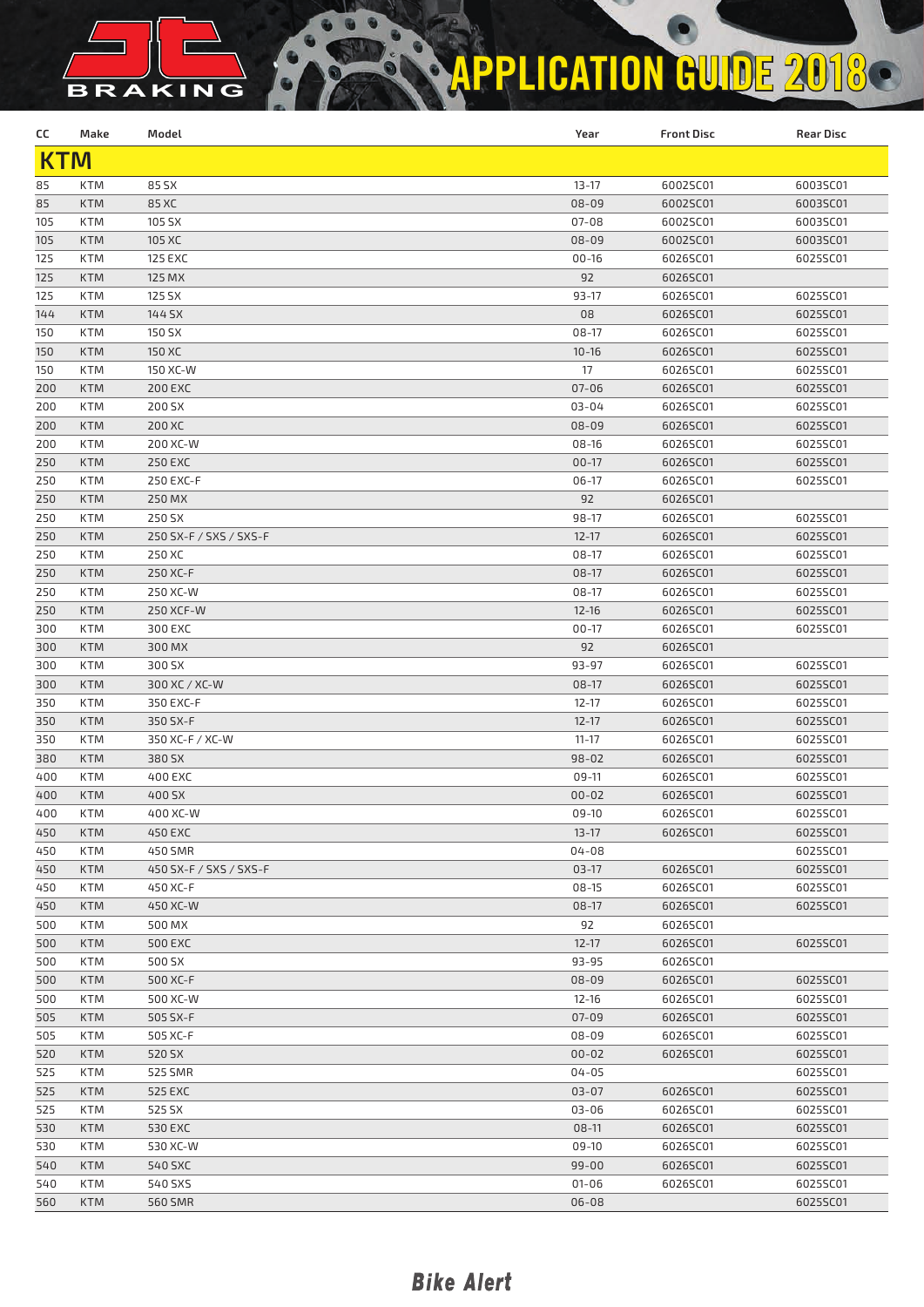## BRAKING **APPLICATION GUIDE 2018**

| cc         | Make       | Model                             | Year          | <b>Front Disc</b>    | <b>Rear Disc</b>     |  |  |  |
|------------|------------|-----------------------------------|---------------|----------------------|----------------------|--|--|--|
| <b>KTM</b> |            |                                   |               |                      |                      |  |  |  |
| 85         | <b>KTM</b> | 85 SX                             | $13 - 17$     | 6002SC01             | 6003SC01             |  |  |  |
| 85         | <b>KTM</b> | 85 XC                             | 08-09         | 6002SC01             | 6003SC01             |  |  |  |
| 105        | <b>KTM</b> | 105 SX                            | $07 - 08$     | 6002SC01             | 6003SC01             |  |  |  |
| 105        | <b>KTM</b> | 105 XC                            | $08 - 09$     | 6002SC01             | 6003SC01             |  |  |  |
| 125        | <b>KTM</b> | <b>125 EXC</b>                    | $00 - 16$     | 6026SC01             | 6025SC01             |  |  |  |
| 125        | <b>KTM</b> | 125 MX                            | 92            | 6026SC01             |                      |  |  |  |
| 125        | <b>KTM</b> | 125 SX                            | $93 - 17$     | 6026SC01             | 6025SC01             |  |  |  |
| 144        | <b>KTM</b> | 144 SX                            | 08            | 6026SC01             | 6025SC01             |  |  |  |
| 150        | <b>KTM</b> | 150 SX                            | 08-17         | 6026SC01             | 6025SC01             |  |  |  |
| 150        | <b>KTM</b> | 150 XC                            | $10 - 16$     | 6026SC01             | 6025SC01             |  |  |  |
| 150        | <b>KTM</b> | 150 XC-W                          | 17            | 6026SC01             | 6025SC01             |  |  |  |
| 200        | <b>KTM</b> | <b>200 EXC</b>                    | $07 - 06$     | 6026SC01             | 6025SC01             |  |  |  |
| 200        | <b>KTM</b> | 200 SX                            | 03-04         | 6026SC01             | 6025SC01             |  |  |  |
| 200        | <b>KTM</b> | 200 XC                            | 08-09         | 6026SC01             | 6025SC01             |  |  |  |
| 200        | <b>KTM</b> | 200 XC-W                          | 08-16         | 6026SC01             | 6025SC01             |  |  |  |
| 250        | <b>KTM</b> | <b>250 EXC</b>                    | $00-17$       | 6026SC01             | 6025SC01             |  |  |  |
| 250        | <b>KTM</b> | 250 EXC-F                         | $06-17$       | 6026SC01             | 6025SC01             |  |  |  |
| 250        | <b>KTM</b> | 250 MX                            | 92            | 6026SC01             |                      |  |  |  |
| 250        | <b>KTM</b> | 250 SX                            | 98-17         | 6026SC01             | 6025SC01             |  |  |  |
| 250        | <b>KTM</b> | 250 SX-F / SXS / SXS-F            | $12 - 17$     | 6026SC01             | 6025SC01             |  |  |  |
| 250        | <b>KTM</b> | 250 XC                            | $08-17$       | 6026SC01             | 6025SC01             |  |  |  |
| 250        | <b>KTM</b> | 250 XC-F                          | $08-17$       | 6026SC01             | 6025SC01             |  |  |  |
| 250        | KTM        | 250 XC-W                          | 08-17         | 6026SC01             | 6025SC01             |  |  |  |
| 250        | <b>KTM</b> | 250 XCF-W                         | $12 - 16$     | 6026SC01             | 6025SC01             |  |  |  |
| 300        | KTM        | 300 EXC                           | $00-17$       | 6026SC01             | 6025SC01             |  |  |  |
| 300        | <b>KTM</b> | 300 MX                            | 92            | 6026SC01             |                      |  |  |  |
| 300        | KTM        | 300 SX                            | 93-97         | 6026SC01             | 6025SC01             |  |  |  |
| 300        | <b>KTM</b> | 300 XC / XC-W                     | 08-17         | 6026SC01             | 6025SC01             |  |  |  |
| 350        | <b>KTM</b> | 350 EXC-F                         | $12 - 17$     | 6026SC01             | 6025SC01             |  |  |  |
| 350        | <b>KTM</b> | 350 SX-F                          | $12 - 17$     | 6026SC01             | 6025SC01             |  |  |  |
| 350        | <b>KTM</b> | 350 XC-F / XC-W                   | $11 - 17$     | 6026SC01             | 6025SC01             |  |  |  |
| 380        | <b>KTM</b> | 380 SX                            | $98 - 02$     | 6026SC01             | 6025SC01             |  |  |  |
| 400        | KTM        | 400 EXC                           | 09-11         | 6026SC01             | 6025SC01             |  |  |  |
| 400        | <b>KTM</b> | 400 SX                            | $00 - 02$     | 6026SC01             | 6025SC01             |  |  |  |
| 400        | <b>KTM</b> | 400 XC-W                          | 09-10         |                      |                      |  |  |  |
| 450        | <b>KTM</b> | 450 EXC                           | $13 - 17$     | 6026SC01<br>6026SC01 | 6025SC01<br>6025SC01 |  |  |  |
|            | <b>KTM</b> |                                   | $04 - 08$     |                      | 6025SC01             |  |  |  |
| 450        | <b>KTM</b> | 450 SMR<br>450 SX-F / SXS / SXS-F | $03-17$       |                      | 6025SC01             |  |  |  |
| 450        |            |                                   | $08-15$       | 6026SC01             | 6025SC01             |  |  |  |
| 450        | KTM        | 450 XC-F                          |               | 6026SC01             |                      |  |  |  |
| 450        | <b>KTM</b> | 450 XC-W<br>500 MX                | $08-17$<br>92 | 6026SC01             | 6025SC01             |  |  |  |
| 500        | KTM        | <b>500 EXC</b>                    |               | 6026SC01             | 6025SC01             |  |  |  |
| 500        | <b>KTM</b> |                                   | $12-17$       | 6026SC01             |                      |  |  |  |
| 500        | KTM        | 500 SX                            | 93-95         | 6026SC01             |                      |  |  |  |
| 500        | <b>KTM</b> | 500 XC-F                          | 08-09         | 6026SC01             | 6025SC01             |  |  |  |
| 500        | KTM        | 500 XC-W                          | $12 - 16$     | 6026SC01             | 6025SC01             |  |  |  |
| 505        | <b>KTM</b> | 505 SX-F                          | $07 - 09$     | 6026SC01             | 6025SC01             |  |  |  |
| 505        | KTM        | 505 XC-F                          | 08-09         | 6026SC01             | 6025SC01             |  |  |  |
| 520        | <b>KTM</b> | 520 SX                            | $00 - 02$     | 6026SC01             | 6025SC01             |  |  |  |
| 525        | KTM        | 525 SMR                           | $04 - 05$     |                      | 6025SC01             |  |  |  |
| 525        | <b>KTM</b> | 525 EXC                           | $03 - 07$     | 6026SC01             | 6025SC01             |  |  |  |
| 525        | KTM        | 525 SX                            | 03-06         | 6026SC01             | 6025SC01             |  |  |  |
| 530        | <b>KTM</b> | 530 EXC                           | $08-11$       | 6026SC01             | 6025SC01             |  |  |  |
| 530        | KTM        | 530 XC-W                          | 09-10         | 6026SC01             | 6025SC01             |  |  |  |
| 540        | <b>KTM</b> | 540 SXC                           | $99 - 00$     | 6026SC01             | 6025SC01             |  |  |  |
| 540        | KTM        | 540 SXS                           | $01 - 06$     | 6026SC01             | 6025SC01             |  |  |  |
| 560        | <b>KTM</b> | 560 SMR                           | $06 - 08$     |                      | 6025SC01             |  |  |  |

### **Bike Alert**